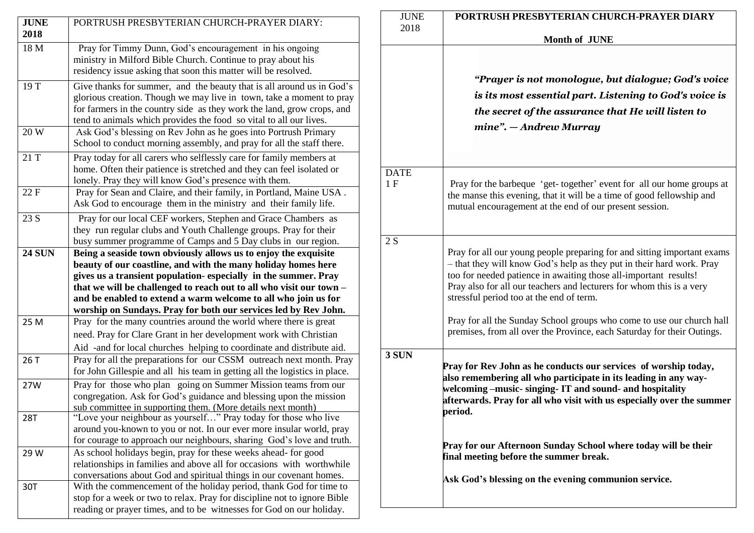| <b>JUNE</b><br>2018 | PORTRUSH PRESBYTERIAN CHURCH-PRAYER DIARY:                                                                                                                                                                                                                                                    | <b>JUNE</b><br>2018                                                                                                                          | <b>PORTRU</b>                                                   |  |
|---------------------|-----------------------------------------------------------------------------------------------------------------------------------------------------------------------------------------------------------------------------------------------------------------------------------------------|----------------------------------------------------------------------------------------------------------------------------------------------|-----------------------------------------------------------------|--|
| 18 M                | Pray for Timmy Dunn, God's encouragement in his ongoing<br>ministry in Milford Bible Church. Continue to pray about his<br>residency issue asking that soon this matter will be resolved.                                                                                                     |                                                                                                                                              | "Pro                                                            |  |
| 19 T                | Give thanks for summer, and the beauty that is all around us in God's<br>glorious creation. Though we may live in town, take a moment to pray<br>for farmers in the country side as they work the land, grow crops, and<br>tend to animals which provides the food so vital to all our lives. |                                                                                                                                              | is its<br>the s                                                 |  |
| 20 W                | Ask God's blessing on Rev John as he goes into Portrush Primary<br>School to conduct morning assembly, and pray for all the staff there.                                                                                                                                                      |                                                                                                                                              | min                                                             |  |
| 21 T                | Pray today for all carers who selflessly care for family members at<br>home. Often their patience is stretched and they can feel isolated or<br>lonely. Pray they will know God's presence with them.                                                                                         | <b>DATE</b><br>1F<br>Pray for the<br>the manse th<br>mutual enco                                                                             |                                                                 |  |
| 22 F                | Pray for Sean and Claire, and their family, in Portland, Maine USA.<br>Ask God to encourage them in the ministry and their family life.                                                                                                                                                       |                                                                                                                                              |                                                                 |  |
| 23 S                | Pray for our local CEF workers, Stephen and Grace Chambers as<br>they run regular clubs and Youth Challenge groups. Pray for their<br>busy summer programme of Camps and 5 Day clubs in our region.                                                                                           | 2S                                                                                                                                           |                                                                 |  |
| <b>24 SUN</b>       | Being a seaside town obviously allows us to enjoy the exquisite<br>beauty of our coastline, and with the many holiday homes here<br>gives us a transient population-especially in the summer. Pray<br>that we will be challenged to reach out to all who visit our town -                     |                                                                                                                                              | Pray for all<br>$-$ that they v<br>too for need<br>Pray also fo |  |
|                     | and be enabled to extend a warm welcome to all who join us for<br>worship on Sundays. Pray for both our services led by Rev John.                                                                                                                                                             |                                                                                                                                              | stressful per                                                   |  |
| 25 M                | Pray for the many countries around the world where there is great<br>need. Pray for Clare Grant in her development work with Christian<br>Aid -and for local churches helping to coordinate and distribute aid.                                                                               | Pray for all<br>premises, fr                                                                                                                 |                                                                 |  |
| 26 T                | Pray for all the preparations for our CSSM outreach next month. Pray<br>for John Gillespie and all his team in getting all the logistics in place.                                                                                                                                            | 3 SUN<br><b>Pray for Rev</b><br>also rememb<br>welcoming-<br>afterwards. l<br>period.<br><b>Pray for our</b><br>final meeting<br>Ask God's b |                                                                 |  |
| 27W                 | Pray for those who plan going on Summer Mission teams from our<br>congregation. Ask for God's guidance and blessing upon the mission<br>sub committee in supporting them. (More details next month)                                                                                           |                                                                                                                                              |                                                                 |  |
| <b>28T</b>          | "Love your neighbour as yourself" Pray today for those who live<br>around you-known to you or not. In our ever more insular world, pray<br>for courage to approach our neighbours, sharing God's love and truth.                                                                              |                                                                                                                                              |                                                                 |  |
| 29 W                | As school holidays begin, pray for these weeks ahead- for good<br>relationships in families and above all for occasions with worthwhile                                                                                                                                                       |                                                                                                                                              |                                                                 |  |
| 30T                 | conversations about God and spiritual things in our covenant homes.<br>With the commencement of the holiday period, thank God for time to<br>stop for a week or two to relax. Pray for discipline not to ignore Bible<br>reading or prayer times, and to be witnesses for God on our holiday. |                                                                                                                                              |                                                                 |  |

| <b>JUNE</b> | PORTRUSH PRESBYTERIAN CHURCH-PRAYER DIARY<br><b>Month of JUNE</b>                                                                                                                                                                                                                                                                                                                                                                                                                           |  |  |
|-------------|---------------------------------------------------------------------------------------------------------------------------------------------------------------------------------------------------------------------------------------------------------------------------------------------------------------------------------------------------------------------------------------------------------------------------------------------------------------------------------------------|--|--|
| 2018        |                                                                                                                                                                                                                                                                                                                                                                                                                                                                                             |  |  |
|             | "Prayer is not monologue, but dialogue; God's voice<br>is its most essential part. Listening to God's voice is<br>the secret of the assurance that He will listen to<br>$mine$ ". $-Andrew Murray$                                                                                                                                                                                                                                                                                          |  |  |
| DATE<br>1 F | Pray for the barbeque 'get-together' event for all our home groups at<br>the manse this evening, that it will be a time of good fellowship and<br>mutual encouragement at the end of our present session.                                                                                                                                                                                                                                                                                   |  |  |
| 2S          | Pray for all our young people preparing for and sitting important exams<br>- that they will know God's help as they put in their hard work. Pray<br>too for needed patience in awaiting those all-important results!<br>Pray also for all our teachers and lecturers for whom this is a very<br>stressful period too at the end of term.<br>Pray for all the Sunday School groups who come to use our church hall<br>premises, from all over the Province, each Saturday for their Outings. |  |  |
| 3 SUN       | Pray for Rev John as he conducts our services of worship today,<br>also remembering all who participate in its leading in any way-<br>welcoming -music- singing-IT and sound- and hospitality<br>afterwards. Pray for all who visit with us especially over the summer<br>period.                                                                                                                                                                                                           |  |  |
|             | Pray for our Afternoon Sunday School where today will be their<br>final meeting before the summer break.<br>Ask God's blessing on the evening communion service.                                                                                                                                                                                                                                                                                                                            |  |  |